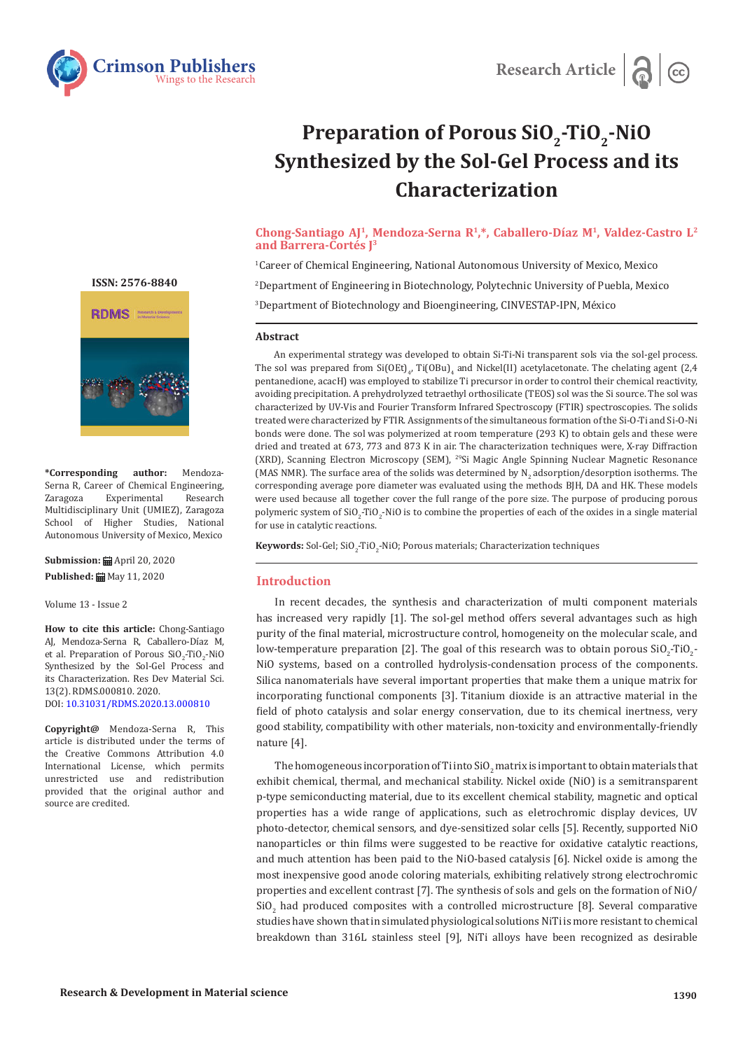



# **Preparation of Porous SiO<sub>2</sub>-TiO<sub>2</sub>-NiO Synthesized by the Sol-Gel Process and its Characterization**

# **Chong-Santiago AJ1, Mendoza-Serna R1,\*, Caballero-Díaz M1, Valdez-Castro L2 and Barrera-Cortés J3**

1 Career of Chemical Engineering, National Autonomous University of Mexico, Mexico 2 Department of Engineering in Biotechnology, Polytechnic University of Puebla, Mexico 3 Department of Biotechnology and Bioengineering, CINVESTAP-IPN, México

#### **Abstract**

An experimental strategy was developed to obtain Si-Ti-Ni transparent sols via the sol-gel process. The sol was prepared from  $\mathrm{Si(OEt)}_{4}$ , Ti(OBu)<sub>4</sub> and Nickel(II) acetylacetonate. The chelating agent (2,4 pentanedione, acacH) was employed to stabilize Ti precursor in order to control their chemical reactivity, avoiding precipitation. A prehydrolyzed tetraethyl orthosilicate (TEOS) sol was the Si source. The sol was characterized by UV-Vis and Fourier Transform Infrared Spectroscopy (FTIR) spectroscopies. The solids treated were characterized by FTIR. Assignments of the simultaneous formation of the Si-O-Ti and Si-O-Ni bonds were done. The sol was polymerized at room temperature (293 K) to obtain gels and these were dried and treated at 673, 773 and 873 K in air. The characterization techniques were, X-ray Diffraction (XRD), Scanning Electron Microscopy (SEM), 29Si Magic Angle Spinning Nuclear Magnetic Resonance (MAS NMR). The surface area of the solids was determined by  $N_2$  adsorption/desorption isotherms. The corresponding average pore diameter was evaluated using the methods BJH, DA and HK. These models were used because all together cover the full range of the pore size. The purpose of producing porous polymeric system of  $\text{SiO}_2\text{-TiO}_2\text{-NiO}$  is to combine the properties of each of the oxides in a single material for use in catalytic reactions.

**Keywords:** Sol-Gel; SiO<sub>2</sub>-TiO<sub>2</sub>-NiO; Porous materials; Characterization techniques

#### **Introduction**

In recent decades, the synthesis and characterization of multi component materials has increased very rapidly [1]. The sol-gel method offers several advantages such as high purity of the final material, microstructure control, homogeneity on the molecular scale, and low-temperature preparation [2]. The goal of this research was to obtain porous  $\mathsf{SU}_2$ -TiO<sub>2</sub>-NiO systems, based on a controlled hydrolysis-condensation process of the components. Silica nanomaterials have several important properties that make them a unique matrix for incorporating functional components [3]. Titanium dioxide is an attractive material in the field of photo catalysis and solar energy conservation, due to its chemical inertness, very good stability, compatibility with other materials, non-toxicity and environmentally-friendly nature [4].

The homogeneous incorporation of Ti into  $\mathop{\rm SU}\nolimits_2$  matrix is important to obtain materials that exhibit chemical, thermal, and mechanical stability. Nickel oxide (NiO) is a semitransparent p-type semiconducting material, due to its excellent chemical stability, magnetic and optical properties has a wide range of applications, such as eletrochromic display devices, UV photo-detector, chemical sensors, and dye-sensitized solar cells [5]. Recently, supported NiO nanoparticles or thin films were suggested to be reactive for oxidative catalytic reactions, and much attention has been paid to the NiO-based catalysis [6]. Nickel oxide is among the most inexpensive good anode coloring materials, exhibiting relatively strong electrochromic properties and excellent contrast [7]. The synthesis of sols and gels on the formation of NiO/  $\rm SiO_2$  had produced composites with a controlled microstructure [8]. Several comparative studies have shown that in simulated physiological solutions NiTi is more resistant to chemical breakdown than 316L stainless steel [9], NiTi alloys have been recognized as desirable

**[ISSN: 2576-8840](https://crimsonpublishers.com/rdms/index.php)**



**\*Corresponding author:** Mendoza-Serna R, Career of Chemical Engineering, Experimental Multidisciplinary Unit (UMIEZ), Zaragoza School of Higher Studies, National Autonomous University of Mexico, Mexico

**Submission:** April 20, 2020 Published: **曲** May 11, 2020

Volume 13 - Issue 2

**How to cite this article:** Chong-Santiago AJ, Mendoza-Serna R, Caballero-Díaz M, et al. Preparation of Porous  $\text{SiO}_2\text{-TiO}_2\text{-NiO}$ Synthesized by the Sol-Gel Process and its Characterization. Res Dev Material Sci. 13(2). RDMS.000810. 2020. DOI: [10.31031/RDMS.2020.13.000](http://dx.doi.org/10.31031/RDMS.2020.13.000810)810

**Copyright@** Mendoza-Serna R, This article is distributed under the terms of the Creative Commons Attribution 4.0 International License, which permits unrestricted use and redistribution provided that the original author and source are credited.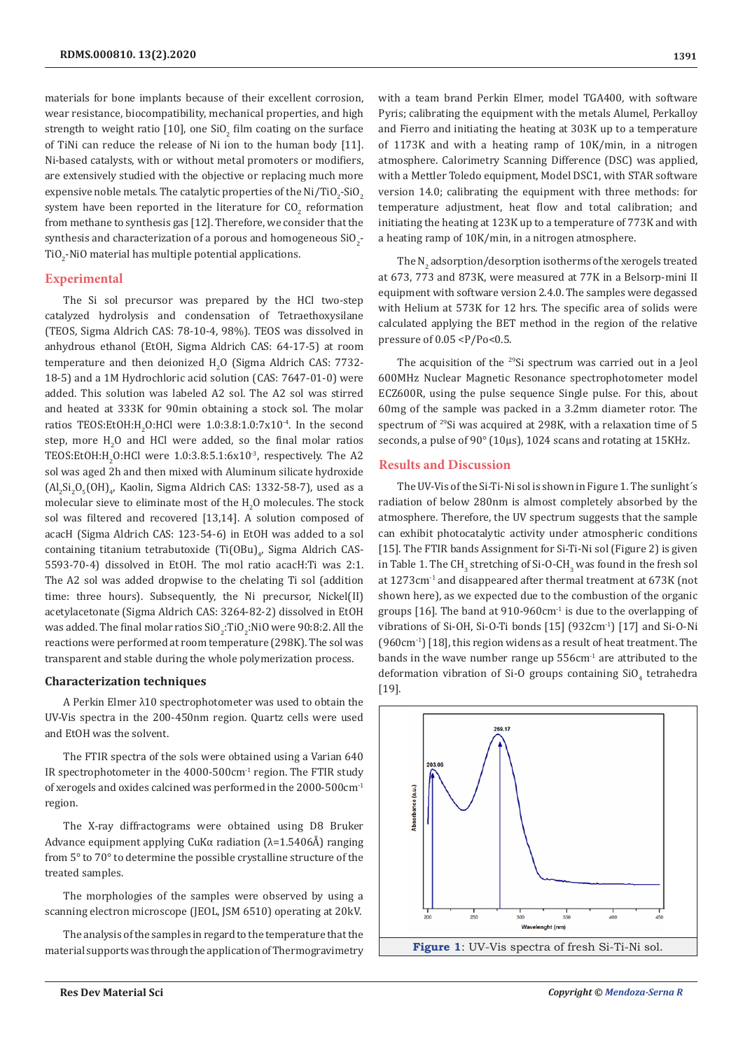materials for bone implants because of their excellent corrosion, wear resistance, biocompatibility, mechanical properties, and high strength to weight ratio [10], one SiO<sub>2</sub> film coating on the surface of TiNi can reduce the release of Ni ion to the human body [11]. Ni-based catalysts, with or without metal promoters or modifiers, are extensively studied with the objective or replacing much more expensive noble metals. The catalytic properties of the Ni/TiO $_2$ -SiO $_2$ system have been reported in the literature for  $\text{CO}_2$  reformation from methane to synthesis gas [12]. Therefore, we consider that the synthesis and characterization of a porous and homogeneous  $\rm SiO_2$ - $\text{TiO}_2$ -NiO material has multiple potential applications.

## **Experimental**

The Si sol precursor was prepared by the HCl two-step catalyzed hydrolysis and condensation of Tetraethoxysilane (TEOS, Sigma Aldrich CAS: 78-10-4, 98%). TEOS was dissolved in anhydrous ethanol (EtOH, Sigma Aldrich CAS: 64-17-5) at room temperature and then deionized  $H_2O$  (Sigma Aldrich CAS: 7732-18-5) and a 1M Hydrochloric acid solution (CAS: 7647-01-0) were added. This solution was labeled A2 sol. The A2 sol was stirred and heated at 333K for 90min obtaining a stock sol. The molar ratios TEOS:EtOH:H<sub>2</sub>O:HCl were  $1.0:3.8:1.0:7x10^{-4}$ . In the second step, more  $H_2O$  and HCl were added, so the final molar ratios TEOS:EtOH:H<sub>2</sub>O:HCl were  $1.0:3.8:5.1:6x10^{-3}$ , respectively. The A2 sol was aged 2h and then mixed with Aluminum silicate hydroxide  $\text{(Al}_2\text{Si}_2\text{O}_5\text{(OH)}_4$ , Kaolin, Sigma Aldrich CAS: 1332-58-7), used as a molecular sieve to eliminate most of the  ${\rm H_2O}$  molecules. The stock sol was filtered and recovered [13,14]. A solution composed of acacH (Sigma Aldrich CAS: 123-54-6) in EtOH was added to a sol containing titanium tetrabutoxide  $\text{(Ti(OBu)}_{4'}$  Sigma Aldrich CAS-5593-70-4) dissolved in EtOH. The mol ratio acacH:Ti was 2:1. The A2 sol was added dropwise to the chelating Ti sol (addition time: three hours). Subsequently, the Ni precursor, Nickel(II) acetylacetonate (Sigma Aldrich CAS: 3264-82-2) dissolved in EtOH was added. The final molar ratios  $\mathop{\rm SiO}\nolimits_2$ :TiO $_2$ :NiO were 90:8:2. All the reactions were performed at room temperature (298K). The sol was transparent and stable during the whole polymerization process.

#### **Characterization techniques**

A Perkin Elmer λ10 spectrophotometer was used to obtain the UV-Vis spectra in the 200-450nm region. Quartz cells were used and EtOH was the solvent.

The FTIR spectra of the sols were obtained using a Varian 640 IR spectrophotometer in the  $4000-500$  cm<sup>-1</sup> region. The FTIR study of xerogels and oxides calcined was performed in the 2000-500cm-1 region.

The X-ray diffractograms were obtained using D8 Bruker Advance equipment applying CuKα radiation  $(λ=1.5406Å)$  ranging from 5° to 70° to determine the possible crystalline structure of the treated samples.

The morphologies of the samples were observed by using a scanning electron microscope (JEOL, JSM 6510) operating at 20kV.

The analysis of the samples in regard to the temperature that the material supports was through the application of Thermogravimetry with a team brand Perkin Elmer, model TGA400, with software Pyris; calibrating the equipment with the metals Alumel, Perkalloy and Fierro and initiating the heating at 303K up to a temperature of 1173K and with a heating ramp of 10K/min, in a nitrogen atmosphere. Calorimetry Scanning Difference (DSC) was applied, with a Mettler Toledo equipment, Model DSC1, with STAR software version 14.0; calibrating the equipment with three methods: for temperature adjustment, heat flow and total calibration; and initiating the heating at 123K up to a temperature of 773K and with a heating ramp of 10K/min, in a nitrogen atmosphere.

The  $\text{N}_2$  adsorption/desorption isotherms of the xerogels treated at 673, 773 and 873K, were measured at 77K in a Belsorp-mini II equipment with software version 2.4.0. The samples were degassed with Helium at 573K for 12 hrs. The specific area of solids were calculated applying the BET method in the region of the relative pressure of 0.05 <P/Po<0.5.

The acquisition of the <sup>29</sup>Si spectrum was carried out in a Jeol 600MHz Nuclear Magnetic Resonance spectrophotometer model ECZ600R, using the pulse sequence Single pulse. For this, about 60mg of the sample was packed in a 3.2mm diameter rotor. The spectrum of <sup>29</sup>Si was acquired at 298K, with a relaxation time of 5 seconds, a pulse of 90° (10μs), 1024 scans and rotating at 15KHz.

## **Results and Discussion**

The UV-Vis of the Si-Ti-Ni sol is shown in Figure 1. The sunlight´s radiation of below 280nm is almost completely absorbed by the atmosphere. Therefore, the UV spectrum suggests that the sample can exhibit photocatalytic activity under atmospheric conditions [15]. The FTIR bands Assignment for Si-Ti-Ni sol (Figure 2) is given in Table 1. The CH $_{\rm 3}$  stretching of Si-O-CH $_{\rm 3}$  was found in the fresh sol at 1273cm-1 and disappeared after thermal treatment at 673K (not shown here), as we expected due to the combustion of the organic groups  $[16]$ . The band at 910-960 $cm<sup>-1</sup>$  is due to the overlapping of vibrations of Si-OH, Si-O-Ti bonds [15] (932cm-1) [17] and Si-O-Ni  $(960 \text{cm}^{-1})$  [18], this region widens as a result of heat treatment. The bands in the wave number range up  $556 \text{cm}^{-1}$  are attributed to the deformation vibration of Si-O groups containing  $\mathop{\rm SiO_4}$  tetrahedra [19].

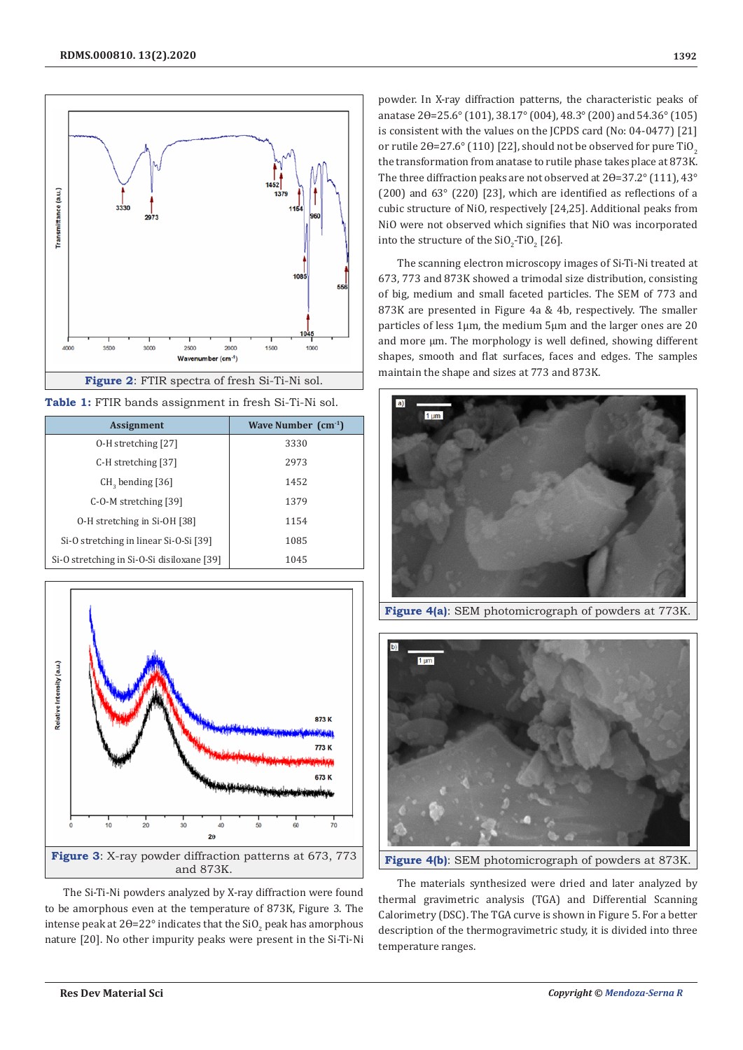



| <b>Assignment</b>                          | Wave Number $(cm-1)$ |  |  |
|--------------------------------------------|----------------------|--|--|
| 0-H stretching [27]                        | 3330                 |  |  |
| C-H stretching [37]                        | 2973                 |  |  |
| $CH2$ bending $[36]$                       | 1452                 |  |  |
| $C-O-M$ stretching [39]                    | 1379                 |  |  |
| 0-H stretching in Si-OH [38]               | 1154                 |  |  |
| Si-O stretching in linear Si-O-Si [39]     | 1085                 |  |  |
| Si-O stretching in Si-O-Si disiloxane [39] | 1045                 |  |  |



The Si-Ti-Ni powders analyzed by X-ray diffraction were found to be amorphous even at the temperature of 873K, Figure 3. The intense peak at 20=22° indicates that the  $\mathop{\rm SU}_2$  peak has amorphous nature [20]. No other impurity peaks were present in the Si-Ti-Ni

powder. In X-ray diffraction patterns, the characteristic peaks of anatase 2 $\theta$ =25.6° (101), 38.17° (004), 48.3° (200) and 54.36° (105) is consistent with the values on the JCPDS card (No: 04-0477) [21] or rutile  $2\theta = 27.6^{\circ}$  (110) [22], should not be observed for pure TiO<sub>2</sub> the transformation from anatase to rutile phase takes place at 873K. The three diffraction peaks are not observed at  $2\theta = 37.2^{\circ}$  (111), 43° (200) and 63° (220) [23], which are identified as reflections of a cubic structure of NiO, respectively [24,25]. Additional peaks from NiO were not observed which signifies that NiO was incorporated into the structure of the  $\rm SiO_2$ -TiO<sub>2</sub> [26].

The scanning electron microscopy images of Si-Ti-Ni treated at 673, 773 and 873K showed a trimodal size distribution, consisting of big, medium and small faceted particles. The SEM of 773 and 873K are presented in Figure 4a & 4b, respectively. The smaller particles of less 1μm, the medium 5μm and the larger ones are 20 and more μm. The morphology is well defined, showing different shapes, smooth and flat surfaces, faces and edges. The samples maintain the shape and sizes at 773 and 873K.



**Figure 4(a)**: SEM photomicrograph of powders at 773K.



**Figure 4(b)**: SEM photomicrograph of powders at 873K.

The materials synthesized were dried and later analyzed by thermal gravimetric analysis (TGA) and Differential Scanning Calorimetry (DSC). The TGA curve is shown in Figure 5. For a better description of the thermogravimetric study, it is divided into three temperature ranges.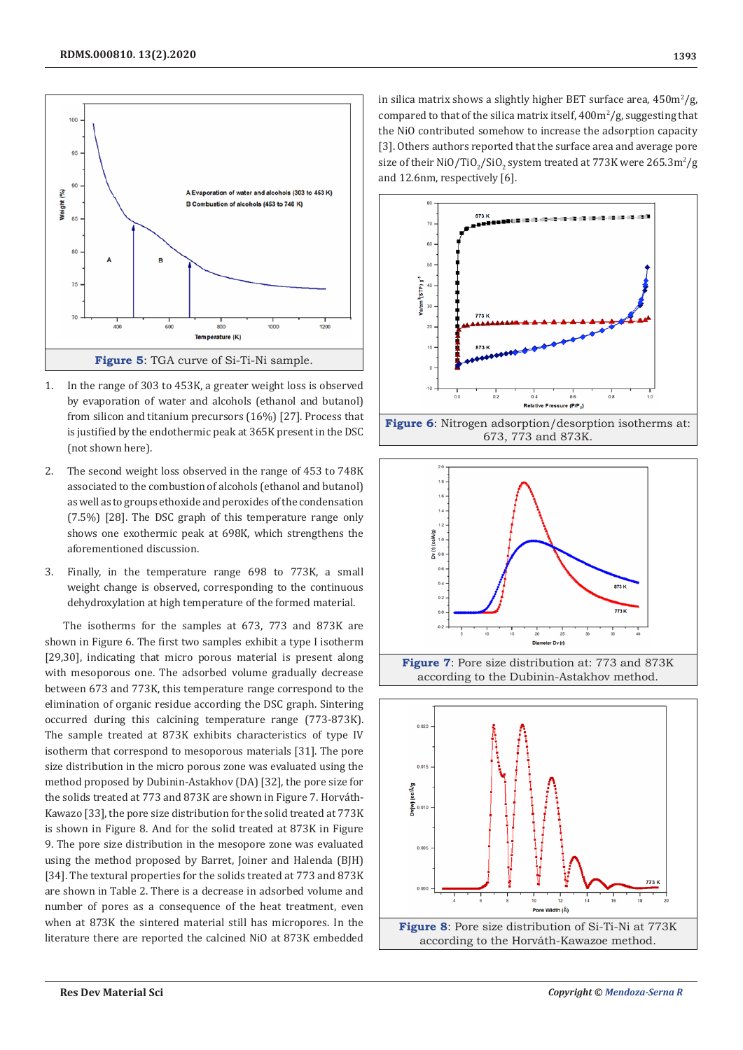

- 1. In the range of 303 to 453K, a greater weight loss is observed by evaporation of water and alcohols (ethanol and butanol) from silicon and titanium precursors (16%) [27]. Process that is justified by the endothermic peak at 365K present in the DSC (not shown here).
- 2. The second weight loss observed in the range of 453 to 748K associated to the combustion of alcohols (ethanol and butanol) as well as to groups ethoxide and peroxides of the condensation (7.5%) [28]. The DSC graph of this temperature range only shows one exothermic peak at 698K, which strengthens the aforementioned discussion.
- 3. Finally, in the temperature range 698 to 773K, a small weight change is observed, corresponding to the continuous dehydroxylation at high temperature of the formed material.

The isotherms for the samples at 673, 773 and 873K are shown in Figure 6. The first two samples exhibit a type I isotherm [29,30], indicating that micro porous material is present along with mesoporous one. The adsorbed volume gradually decrease between 673 and 773K, this temperature range correspond to the elimination of organic residue according the DSC graph. Sintering occurred during this calcining temperature range (773-873K). The sample treated at 873K exhibits characteristics of type IV isotherm that correspond to mesoporous materials [31]. The pore size distribution in the micro porous zone was evaluated using the method proposed by Dubinin-Astakhov (DA) [32], the pore size for the solids treated at 773 and 873K are shown in Figure 7. Horváth-Kawazo [33], the pore size distribution for the solid treated at 773K is shown in Figure 8. And for the solid treated at 873K in Figure 9. The pore size distribution in the mesopore zone was evaluated using the method proposed by Barret, Joiner and Halenda (BJH) [34]. The textural properties for the solids treated at 773 and 873K are shown in Table 2. There is a decrease in adsorbed volume and number of pores as a consequence of the heat treatment, even when at 873K the sintered material still has micropores. In the literature there are reported the calcined NiO at 873K embedded in silica matrix shows a slightly higher BET surface area,  $450 m^2/g$ , compared to that of the silica matrix itself,  $400 \text{m}^2/\text{g}$ , suggesting that the NiO contributed somehow to increase the adsorption capacity [3]. Others authors reported that the surface area and average pore size of their  $\rm NiO/TiO_2/SiO_2$  system treated at  $773\rm K$  were  $265.3\rm m^2/g$ and 12.6nm, respectively [6].







**Figure 7**: Pore size distribution at: 773 and 873K according to the Dubinin-Astakhov method.

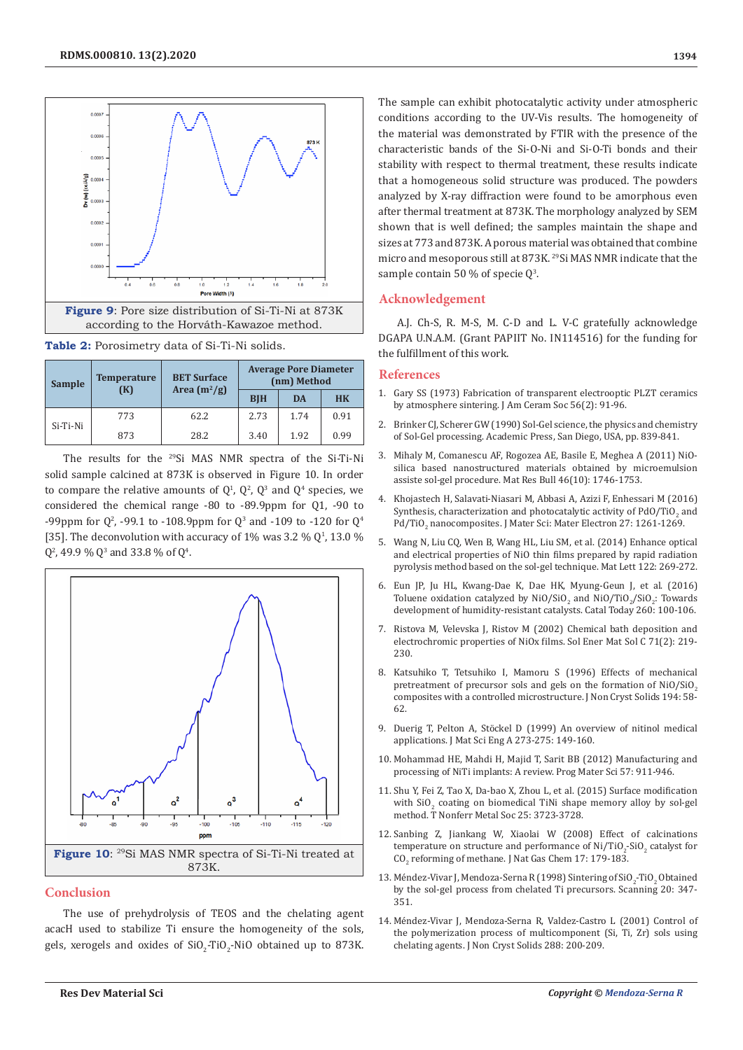



| <b>Sample</b> | <b>Temperature</b><br>(K) | <b>BET Surface</b><br>Area $(m^2/g)$ | <b>Average Pore Diameter</b><br>(nm) Method |      |           |
|---------------|---------------------------|--------------------------------------|---------------------------------------------|------|-----------|
|               |                           |                                      | <b>B</b> <sub>IH</sub>                      | DA   | <b>HK</b> |
| Si-Ti-Ni      | 773                       | 62.2                                 | 2.73                                        | 1.74 | 0.91      |
|               | 873                       | 28.2                                 | 3.40                                        | 1.92 | 0.99      |

The results for the 29Si MAS NMR spectra of the Si-Ti-Ni solid sample calcined at 873K is observed in Figure 10. In order to compare the relative amounts of  $Q^1$ ,  $Q^2$ ,  $Q^3$  and  $Q^4$  species, we considered the chemical range -80 to -89.9ppm for Q1, -90 to -99ppm for  $Q^2$ , -99.1 to -108.9ppm for  $Q^3$  and -109 to -120 for  $Q^4$ [35]. The deconvolution with accuracy of  $1\%$  was 3.2  $\%$  Q<sup>1</sup>, 13.0  $\%$  $Q^2$ , 49.9 %  $Q^3$  and 33.8 % of  $Q^4$ .



# **Conclusion**

The use of prehydrolysis of TEOS and the chelating agent acacH used to stabilize Ti ensure the homogeneity of the sols, gels, xerogels and oxides of  $\text{SiO}_2\text{-TiO}_2\text{-NiO}$  obtained up to 873K. The sample can exhibit photocatalytic activity under atmospheric conditions according to the UV-Vis results. The homogeneity of the material was demonstrated by FTIR with the presence of the characteristic bands of the Si-O-Ni and Si-O-Ti bonds and their stability with respect to thermal treatment, these results indicate that a homogeneous solid structure was produced. The powders analyzed by X-ray diffraction were found to be amorphous even after thermal treatment at 873K. The morphology analyzed by SEM shown that is well defined; the samples maintain the shape and sizes at 773 and 873K. A porous material was obtained that combine micro and mesoporous still at 873K. <sup>29</sup>Si MAS NMR indicate that the sample contain 50  $\%$  of specie  $\mathbb{Q}^3$ .

## **Acknowledgement**

A.J. Ch-S, R. M-S, M. C-D and L. V-C gratefully acknowledge DGAPA U.N.A.M. (Grant PAPIIT No. IN114516) for the funding for the fulfillment of this work.

# **References**

- 1. [Gary SS \(1973\) Fabrication of transparent electrooptic PLZT ceramics](https://ceramics.onlinelibrary.wiley.com/doi/10.1111/j.1151-2916.1973.tb12365.x) [by atmosphere sintering. J Am Ceram Soc 56\(2\): 91-96.](https://ceramics.onlinelibrary.wiley.com/doi/10.1111/j.1151-2916.1973.tb12365.x)
- 2. Brinker CJ, Scherer GW (1990) Sol-Gel science, the physics and chemistry of Sol-Gel processing. Academic Press, San Diego, USA, pp. 839-841.
- 3. [Mihaly M, Comanescu AF, Rogozea AE, Basile E, Meghea A \(2011\) NiO](https://www.sciencedirect.com/science/article/pii/S0025540811002479)[silica based nanostructured materials obtained by microemulsion](https://www.sciencedirect.com/science/article/pii/S0025540811002479) [assiste sol-gel procedure. Mat Res Bull 46\(10\): 1746-1753.](https://www.sciencedirect.com/science/article/pii/S0025540811002479)
- 4. [Khojastech H, Salavati-Niasari M, Abbasi A, Azizi F, Enhessari M \(2016\)](https://link.springer.com/article/10.1007/s10854-015-3884-4) Synthesis, characterization and photocatalytic activity of PdO/TiO<sub>2</sub> and Pd/TiO<sub>2</sub> [nanocomposites. J Mater Sci: Mater Electron 27: 1261-1269.](https://link.springer.com/article/10.1007/s10854-015-3884-4)
- 5. [Wang N, Liu CQ, Wen B, Wang HL, Liu SM, et al. \(2014\) Enhance optical](https://www.sciencedirect.com/science/article/abs/pii/S0167577X14002523) [and electrical properties of NiO thin films prepared by rapid radiation](https://www.sciencedirect.com/science/article/abs/pii/S0167577X14002523) [pyrolysis method based on the sol-gel technique. Mat Lett 122: 269-272.](https://www.sciencedirect.com/science/article/abs/pii/S0167577X14002523)
- 6. [Eun JP, Ju HL, Kwang-Dae K, Dae HK, Myung-Geun J, et al. \(2016\)](https://www.sciencedirect.com/science/article/abs/pii/S0920586115002217) Toluene oxidation catalyzed by  $NiO/SiO_2$  and  $NiO/TiO_2/SiO_2$ : Towards [development of humidity-resistant catalysts. Catal Today 260: 100-106.](https://www.sciencedirect.com/science/article/abs/pii/S0920586115002217)
- 7. [Ristova M, Velevska J, Ristov M \(2002\) Chemical bath deposition and](https://www.sciencedirect.com/science/article/pii/S0927024801000617) [electrochromic properties of NiOx films. Sol Ener Mat Sol C 71\(2\): 219-](https://www.sciencedirect.com/science/article/pii/S0927024801000617) [230.](https://www.sciencedirect.com/science/article/pii/S0927024801000617)
- 8. [Katsuhiko T, Tetsuhiko I, Mamoru S \(1996\) Effects of mechanical](https://www.sciencedirect.com/science/article/abs/pii/0022309395004610) pretreatment of precursor sols and gels on the formation of NiO/SiO<sub>2</sub> [composites with a controlled microstructure. J Non Cryst Solids 194: 58-](https://www.sciencedirect.com/science/article/abs/pii/0022309395004610) [62.](https://www.sciencedirect.com/science/article/abs/pii/0022309395004610)
- 9. [Duerig T, Pelton A, Stöckel D \(1999\) An overview of nitinol medical](https://www.sciencedirect.com/science/article/abs/pii/S0921509399002944) [applications. J Mat Sci Eng A 273-275: 149-160.](https://www.sciencedirect.com/science/article/abs/pii/S0921509399002944)
- 10. [Mohammad HE, Mahdi H, Majid T, Sarit BB \(2012\) Manufacturing and](https://www.sciencedirect.com/science/article/abs/pii/S0079642511001058) [processing of NiTi implants: A review. Prog Mater Sci 57: 911-946.](https://www.sciencedirect.com/science/article/abs/pii/S0079642511001058)
- 11. [Shu Y, Fei Z, Tao X, Da-bao X, Zhou L, et al. \(2015\) Surface modification](https://www.sciencedirect.com/science/article/abs/pii/S1003632615640158) with  $\text{SiO}_2$  [coating on biomedical TiNi shape memory alloy by sol-gel](https://www.sciencedirect.com/science/article/abs/pii/S1003632615640158) [method. T Nonferr Metal Soc 25: 3723-3728.](https://www.sciencedirect.com/science/article/abs/pii/S1003632615640158)
- 12. [Sanbing Z, Jiankang W, Xiaolai W \(2008\) Effect of calcinations](https://www.sciencedirect.com/science/article/abs/pii/S1003995308600481) temperature on structure and performance of  $Ni/TiO<sub>2</sub>SiO<sub>2</sub>$  catalyst for  $\text{CO}_2$  reforming of methane. J Nat Gas Chem  $17:179$ - $183.$
- 13. Mendez-Vivar J, Mendoza-Serna R (1998) Sintering of  $\mathfrak{SO}_2$ -Ti $\mathfrak{O}_2$  Obtained [by the sol-gel process from chelated Ti precursors. Scanning 20: 347-](https://onlinelibrary.wiley.com/doi/abs/10.1002/sca.1998.4950200409) [351.](https://onlinelibrary.wiley.com/doi/abs/10.1002/sca.1998.4950200409)
- 14. [Méndez-Vivar J, Mendoza-Serna R, Valdez-Castro L \(2001\) Control of](https://www.sciencedirect.com/science/article/abs/pii/S0022309301006445) [the polymerization process of multicomponent \(Si, Ti, Zr\) sols using](https://www.sciencedirect.com/science/article/abs/pii/S0022309301006445) [chelating agents. J Non Cryst Solids 288: 200-209.](https://www.sciencedirect.com/science/article/abs/pii/S0022309301006445)